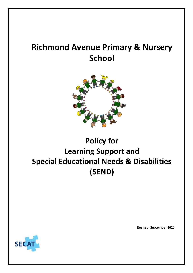# **Richmond Avenue Primary & Nursery School**



# **Policy for Learning Support and Special Educational Needs & Disabilities (SEND)**



**Revised: September 2021**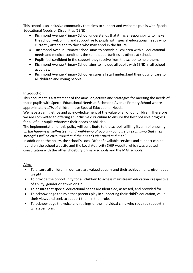This school is an inclusive community that aims to support and welcome pupils with Special Educational Needs or Disabilities (SEND)

- Richmond Avenue Primary School understands that it has a responsibility to make the school welcoming and supportive to pupils with special educational needs who currently attend and to those who may enrol in the future.
- Richmond Avenue Primary School aims to provide all children with all educational needs and medical conditions the same opportunities as others at school.
- Pupils feel confident in the support they receive from the school to help them.
- Richmond Avenue Primary School aims to include all pupils with SEND in all school activities.
- Richmond Avenue Primary School ensures all staff understand their duty of care to all children and young people

## **Introduction**:

This document is a statement of the aims, objectives and strategies for meeting the needs of those pupils with Special Educational Needs at Richmond Avenue Primary School where approximately 17% of children have Special Educational Needs.

We have a caring ethos and acknowledgement of the value of all of our children. Therefore we are committed to offering an inclusive curriculum to ensure the best possible progress for all of our pupils whatever their needs or abilities.

The implementation of this policy will contribute to the school fulfilling its aim of ensuring *'… the happiness, self-esteem and well-being of pupils in our care by promising that their strengths will be encouraged and their needs identified and met.'*

In addition to the policy, the school's Local Offer of available services and support can be found on the school website and the Local Authority SHIP website which was created in consultation with the other Shoebury primary schools and the MAT schools.

## **Aims:**

- To ensure all children in our care are valued equally and their achievements given equal weight.
- To provide the opportunity for all children to access mainstream education irrespective of ability, gender or ethnic origin.
- To ensure that special educational needs are identified, assessed, and provided for.
- To acknowledge the role that parents play in supporting their child's education, value their views and seek to support them in their role.
- To acknowledge the voice and feelings of the individual child who requires support in whatever form.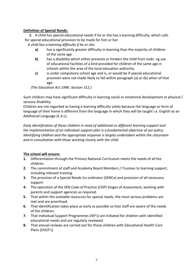### **Definition of Special Needs:**

**1.** A child has special educational needs if he or she has a learning difficulty, which calls for special educational provision to be made for him or her.

*A child has a learning difficulty if he or she:*

- **a)** has a significantly greater difficulty in learning than the majority of children of the same age
- **b)** has a disability which either prevents or hinders the child from maki ng use of educational facilities of a kind provided for children of the same age in schools within the area of the local education authority.
- **c)** is under compulsory school age and is, or would be if special educational provision were not made likely to fall within paragraph (a) or (b) when of that age.

*(The Education Act 1996.-Section 312.)*

Such children may have significant difficulty in learning social or emotional development or physical / sensory disability.

Children are not regarded as having a learning difficulty solely because the language or form of language of their home is different from the language in which they will be taught i.e. English as an Additional Language (E.A.L).

*Early identification of those children in need of additional or different learning support and the implementation of an individual support plan is a fundamental objective of our policy. Identifying children and the appropriate response is largely undertaken within the classroom and in consultation with those working closely with the child.*

## **The school will ensure:**

- **1.** Differentiation through the Primary National Curriculum meets the needs of all the children.
- **2.** The commitment of staff and Academy Board Members / Trustees to learning support, including relevant training.
- **3.** The provision of a Special Needs Co-ordinator (SENCo) and provision of all necessary support.
- **4.** The operation of the SEN Code of Practice (COP) Stages of Assessment, working with parents and support agencies as required.
- **5.** That within the available resources for special needs, the most serious problems are met and are prioritised.
- **6.** That identification takes place as early as possible so that staff are aware of the needs of the children.
- **7.** That Individual Support Programmes (ISP's) are initiated for children with identified educational needs and are regularly reviewed.
- **8.** That annual reviews are carried out for those children with Educational Health Care Plans (EHCP's)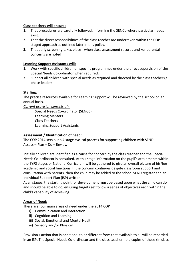#### **Class teachers will ensure;**

- **1.** That procedures are carefully followed; informing the SENCo where particular needs exist.
- **2.** That the direct responsibilities of the class teacher are undertaken within the COP staged approach as outlined later in this policy.
- **3.** That early screening takes place when class assessment records and /or parental concerns are noted

#### **Learning Support Assistants will:**

- **1.** Work with specific children on specific programmes under the direct supervision of the Special Needs Co-ordinator when required.
- **2.** Support all children with special needs as required and directed by the class teachers / phase leaders.

#### **Staffing:**

The precise resources available for Learning Support will be reviewed by the school on an annual basis.

*Current provision consists of:-*

Special Needs Co-ordinator (SENCo) Learning Mentors Class Teachers Learning Support Assistants

#### **Assessment / Identification of need:**

The COP 2014 sets out a 4 stage cyclical process for supporting children with SEND Assess – Plan – Do – Review

Initially children are identified as a cause for concern by the class teacher and the Special Needs Co-ordinator is consulted. At this stage information on the pupil's attainments within the EYFS stages or National Curriculum will be gathered to give an overall picture of his/her academic and social functions. If the concern continues despite classroom support and consultation with parents, then the child may be added to the school SEND register and an Individual Support Plan (ISP) written.

At all stages, the starting point for development must be based upon what the child can do and should be able to do, ensuring targets set follow a series of objectives each within the child's capability of achieving.

#### **Areas of Need:**

There are four main areas of need under the 2014 COP

- i) Communication and Interaction
- ii) Cognition and Learning
- iii) Social, Emotional and Mental Health
- iv) Sensory and/or Physical

Provision / action that is additional to or different from that available to all will be recorded in an ISP. The Special Needs Co-ordinator and the class teacher hold copies of these (In class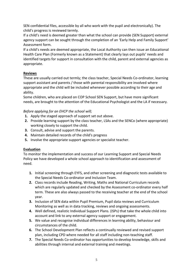SEN confidential files, accessible by all who work with the pupil and electronically). The child's progress is reviewed termly.

If a child's need is deemed greater than what the school can provide (SEN Support) external agency support can be sought through the completion of an 'Early Help and Family Support' Assessment form.

If a child's needs are deemed appropriate, the Local Authority can then issue an Educational Health Care Plan (Formerly known as a Statement) that clearly lays out pupils' needs and identified targets for support in consultation with the child, parent and external agencies as appropriate.

## **Reviews**

These are usually carried out termly; the class teacher, Special Needs Co-ordinator, learning support assistant and parents / those with parental responsibility are involved where appropriate and the child will be included whenever possible according to their age and ability.

Some children, who are placed on COP School SEN Support, but have more significant needs, are brought to the attention of the Educational Psychologist and the LA if necessary.

## *Before applying for an EHCP the school will;*

- **1.** Apply the staged approach of support set out above.
- **2.** Provide learning support by the class teacher, LSAs and the SENCo (where appropriate) working closely to support the child.
- **3.** Consult, advise and support the parents.
- **4.** Maintain detailed records of the child's progress
- **5.** Involve the appropriate support agencies or specialist teacher.

## **Evaluation**

To monitor the implementation and success of our Learning Support and Special Needs Policy we have developed a whole school approach to identification and assessment of need.

- **1.** Initial screening through EYFS, and other screening and diagnostic tests available to the Special Needs Co-ordinator and Inclusion Team.
- **2.** Class records include Reading, Writing, Maths and National Curriculum records which are regularly updated and checked by the Assessment co-ordinator every half term. These are also always passed to the receiving teacher at the end of the school year.
- **3.** Inclusion of SEN data within Pupil Premium, Pupil data reviews and Curriculum Monitoring as well as in data tracking, reviews and ongoing assessments.
- **4.** Well defined, realistic Individual Support Plans. (ISPs) that take the whole child into account and link to any external agency support or engagement.
- **5.** We value and recognise individual differences in learning ability, behaviour and circumstances of the child.
- **6.** The School Development Plan reflects a continually reviewed and revised support plan, including CPD where needed for all staff including non-teaching staff.
- **7.** The Special Needs Co-ordinator has opportunities to develop knowledge, skills and abilities through internal and external training and meetings.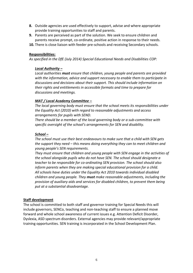- **8.** Outside agencies are used effectively to support, advise and where appropriate provide training opportunities to staff and parents.
- **9.** Parents are perceived as part of the solution. We seek to ensure children and parents receive prompt, co-ordinate, positive action in response to their needs.
- **10.** There is close liaison with feeder pre-schools and receiving Secondary schools.

#### **Responsibilities:**

*As specified in the DfE (July 2014) Special Educational Needs and Disabilities COP:*

#### *Local Authority –*

*Local authorities must ensure that children, young people and parents are provided with the information, advice and support necessary to enable them to participate in discussions and decisions about their support. This should include information on their rights and entitlements in accessible formats and time to prepare for discussions and meetings.* 

#### *MAT / Local Academy Committee –*

*The local governing body must ensure that the school meets its responsibilities under the Equality Act (2010) with regard to reasonable adjustments and access arrangements for pupils with SEND.* 

*There should be a member of the local governing body or a sub-committee with specific oversight of the school's arrangements for SEN and disability.* 

#### *School –*

*The school must use their best endeavours to make sure that a child with SEN gets the support they need – this means doing everything they can to meet children and young people's SEN requirements.* 

*They must ensure that children and young people with SEN engage in the activities of the school alongside pupils who do not have SEN. The school should designate a teacher to be responsible for co-ordinating SEN provision. The school should also inform parents when they are making special educational provision for a child. All schools have duties under the Equality Act 2010 towards individual disabled children and young people. They must make reasonable adjustments, including the provision of auxiliary aids and services for disabled children, to prevent them being put at a substantial disadvantage.* 

#### **Staff development**

The school is committed to both staff and governor training for Special Needs this will include governors, SENCo, teaching and non-teaching staff to ensure a planned move forward and whole school awareness of current issues e.g. Attention Deficit Disorder, Dyslexia, ASD spectrum disorders. External agencies may provide relevant/appropriate training opportunities. SEN training is incorporated in the School Development Plan.